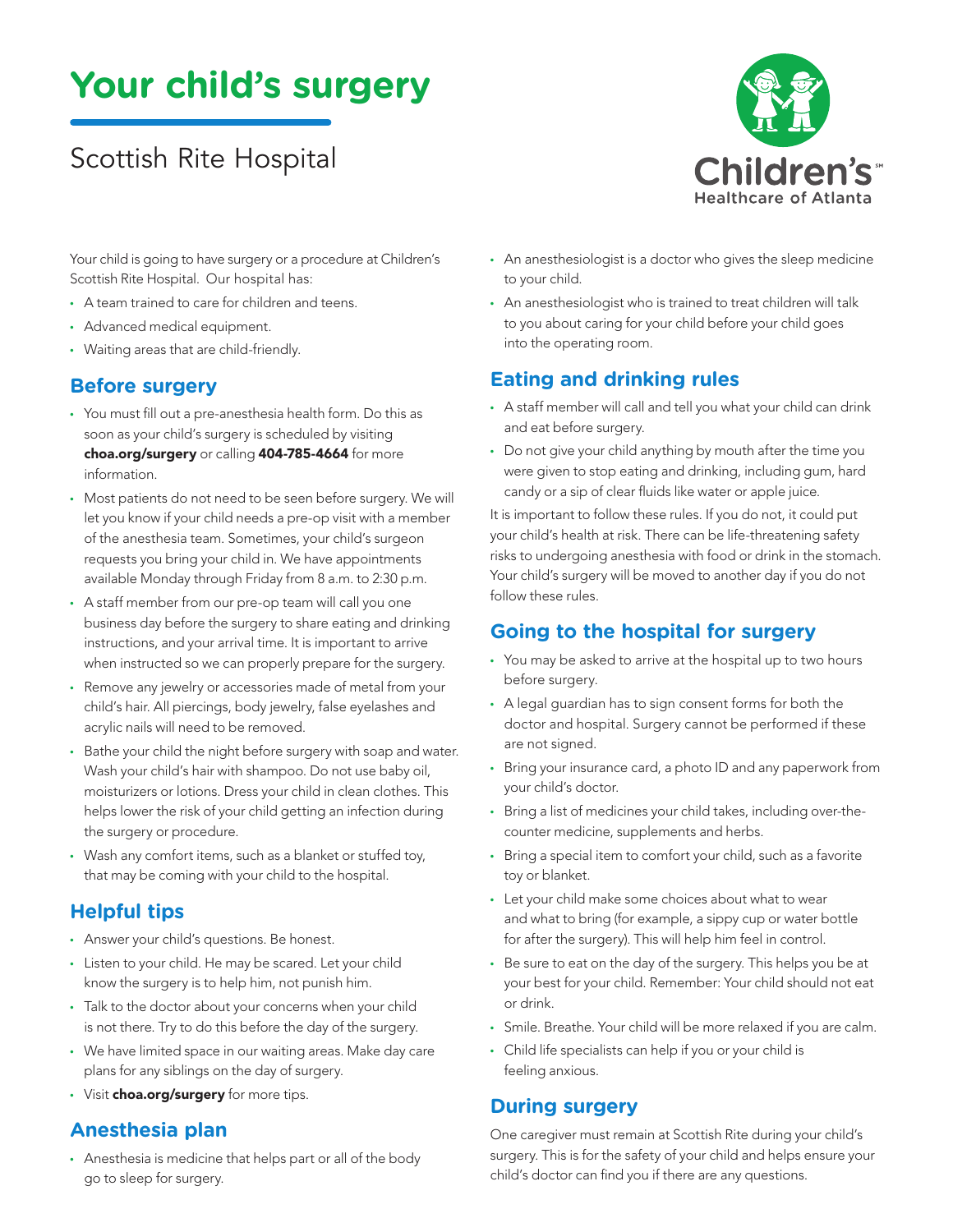# **Your child's surgery**

# Scottish Rite Hospital



Your child is going to have surgery or a procedure at Children's Scottish Rite Hospital. Our hospital has:

- A team trained to care for children and teens.
- Advanced medical equipment.
- Waiting areas that are child-friendly.

#### **Before surgery**

- You must fill out a pre-anesthesia health form. Do this as soon as your child's surgery is scheduled by visiting choa.org/surgery or calling 404-785-4664 for more information.
- Most patients do not need to be seen before surgery. We will let you know if your child needs a pre-op visit with a member of the anesthesia team. Sometimes, your child's surgeon requests you bring your child in. We have appointments available Monday through Friday from 8 a.m. to 2:30 p.m.
- A staff member from our pre-op team will call you one business day before the surgery to share eating and drinking instructions, and your arrival time. It is important to arrive when instructed so we can properly prepare for the surgery.
- Remove any jewelry or accessories made of metal from your child's hair. All piercings, body jewelry, false eyelashes and acrylic nails will need to be removed.
- Bathe your child the night before surgery with soap and water. Wash your child's hair with shampoo. Do not use baby oil, moisturizers or lotions. Dress your child in clean clothes. This helps lower the risk of your child getting an infection during the surgery or procedure.
- Wash any comfort items, such as a blanket or stuffed toy, that may be coming with your child to the hospital.

## **Helpful tips**

- Answer your child's questions. Be honest.
- Listen to your child. He may be scared. Let your child know the surgery is to help him, not punish him.
- Talk to the doctor about your concerns when your child is not there. Try to do this before the day of the surgery.
- We have limited space in our waiting areas. Make day care plans for any siblings on the day of surgery.
- Visit choa.org/surgery for more tips.

#### **Anesthesia plan**

• Anesthesia is medicine that helps part or all of the body go to sleep for surgery.

- An anesthesiologist is a doctor who gives the sleep medicine to your child.
- An anesthesiologist who is trained to treat children will talk to you about caring for your child before your child goes into the operating room.

# **Eating and drinking rules**

- A staff member will call and tell you what your child can drink and eat before surgery.
- Do not give your child anything by mouth after the time you were given to stop eating and drinking, including gum, hard candy or a sip of clear fluids like water or apple juice.

It is important to follow these rules. If you do not, it could put your child's health at risk. There can be life-threatening safety risks to undergoing anesthesia with food or drink in the stomach. Your child's surgery will be moved to another day if you do not follow these rules.

## **Going to the hospital for surgery**

- You may be asked to arrive at the hospital up to two hours before surgery.
- A legal guardian has to sign consent forms for both the doctor and hospital. Surgery cannot be performed if these are not signed.
- Bring your insurance card, a photo ID and any paperwork from your child's doctor.
- Bring a list of medicines your child takes, including over-thecounter medicine, supplements and herbs.
- Bring a special item to comfort your child, such as a favorite toy or blanket.
- Let your child make some choices about what to wear and what to bring (for example, a sippy cup or water bottle for after the surgery). This will help him feel in control.
- Be sure to eat on the day of the surgery. This helps you be at your best for your child. Remember: Your child should not eat or drink.
- Smile. Breathe. Your child will be more relaxed if you are calm.
- Child life specialists can help if you or your child is feeling anxious.

#### **During surgery**

One caregiver must remain at Scottish Rite during your child's surgery. This is for the safety of your child and helps ensure your child's doctor can find you if there are any questions.